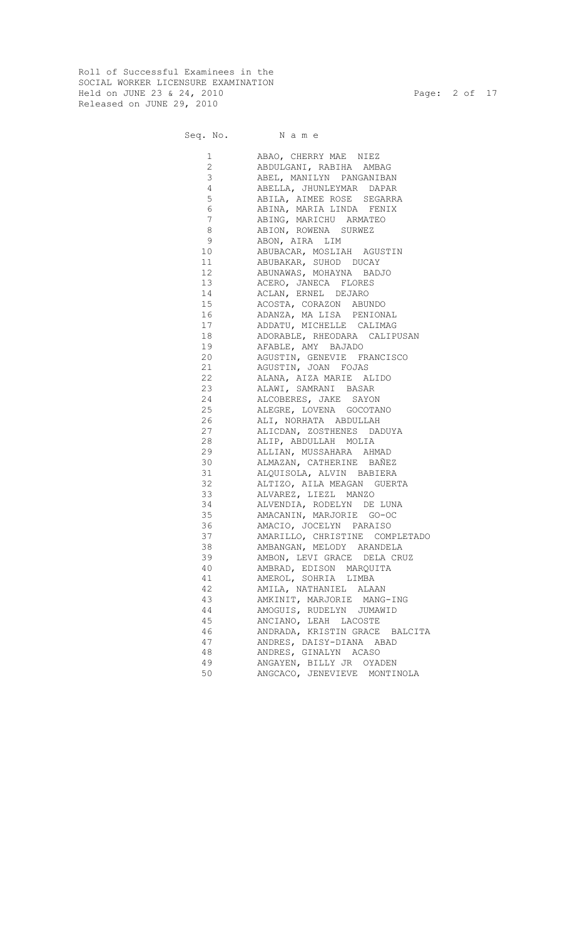Roll of Successful Examinees in the SOCIAL WORKER LICENSURE EXAMINATION Held on JUNE 23 & 24, 2010 Page: 2 of 17 Released on JUNE 29, 2010

| 1            | ABAO, CHERRY MAE NIEZ          |
|--------------|--------------------------------|
| $\mathbf{2}$ | ABDULGANI, RABIHA AMBAG        |
| 3            | ABEL, MANILYN PANGANIBAN       |
| 4            | ABELLA, JHUNLEYMAR DAPAR       |
| 5            | ABILA, AIMEE ROSE SEGARRA      |
|              |                                |
| 6            | ABINA, MARIA LINDA FENIX       |
| 7            | ABING, MARICHU ARMATEO         |
| 8            | ABION, ROWENA SURWEZ           |
| 9            | ABON, AIRA LIM                 |
| 10           | ABUBACAR, MOSLIAH AGUSTIN      |
| 11           | ABUBAKAR, SUHOD DUCAY          |
| 12           | ABUNAWAS, MOHAYNA BADJO        |
| 13           | ACERO, JANECA FLORES           |
| 14           | ACLAN, ERNEL DEJARO            |
|              | ACOSTA, CORAZON ABUNDO         |
|              |                                |
|              | 16 ADANZA, MA LISA PENIONAL    |
| 17           | ADDATU, MICHELLE CALIMAG       |
| 18           | ADORABLE, RHEODARA CALIPUSAN   |
| 19           | AFABLE, AMY BAJADO             |
| 20           | AGUSTIN, GENEVIE FRANCISCO     |
| 21           | AGUSTIN, JOAN FOJAS            |
| 22           | ALANA, AIZA MARIE ALIDO        |
| 23           | ALAWI, SAMRANI BASAR           |
| 24           | ALCOBERES, JAKE SAYON          |
| 25           | ALEGRE, LOVENA GOCOTANO        |
| 26           | ALI, NORHATA ABDULLAH          |
| 27           | ALICDAN, ZOSTHENES DADUYA      |
| 28           |                                |
|              | ALIP, ABDULLAH MOLIA           |
| 29           | ALLIAN, MUSSAHARA AHMAD        |
| 30           | ALMAZAN, CATHERINE BAÑEZ       |
| 31           | ALQUISOLA, ALVIN BABIERA       |
| 32           | ALTIZO, AILA MEAGAN GUERTA     |
| $33 - 7$     | ALVAREZ, LIEZL MANZO           |
| 34 34 34 35  | ALVENDIA, RODELYN DE LUNA      |
| 35           | AMACANIN, MARJORIE GO-OC       |
| 36           | AMACIO, JOCELYN PARAISO        |
| 37           | AMARILLO, CHRISTINE COMPLETADO |
| 38           | AMBANGAN, MELODY ARANDELA      |
| 39           | AMBON, LEVI GRACE DELA CRUZ    |
|              |                                |
| 40           | AMBRAD, EDISON MARQUITA        |
| 41           | AMEROL, SOHRIA LIMBA           |
| 42           | AMILA, NATHANIEL ALAAN         |
| 43           | AMKINIT, MARJORIE MANG-ING     |
| 44           | AMOGUIS, RUDELYN JUMAWID       |
| 45           | ANCIANO, LEAH LACOSTE          |
| 46           | ANDRADA, KRISTIN GRACE BALCITA |
| 47           | ANDRES, DAISY-DIANA ABAD       |
| 48           | ANDRES, GINALYN ACASO          |
| 49           | ANGAYEN, BILLY JR OYADEN       |
| 50           | ANGCACO, JENEVIEVE MONTINOLA   |
|              |                                |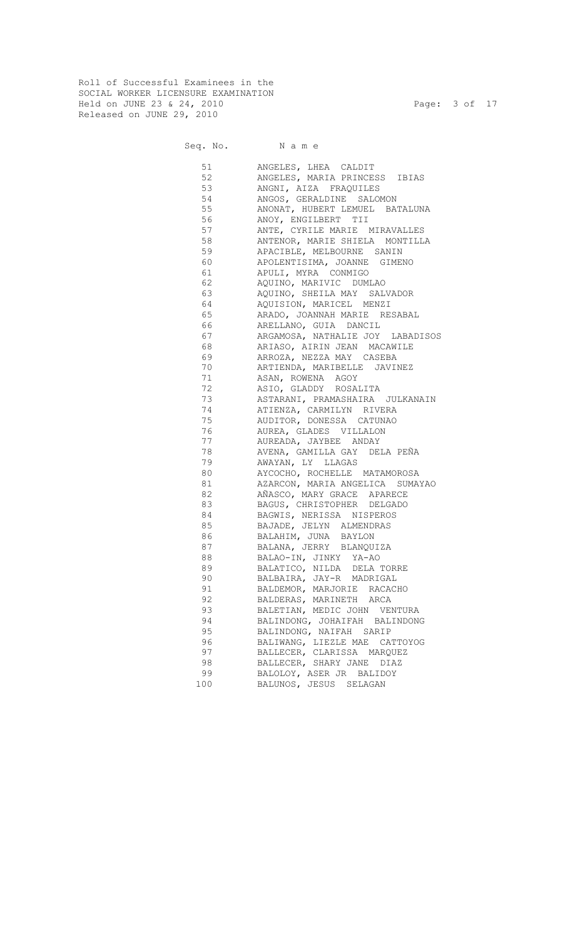Roll of Successful Examinees in the SOCIAL WORKER LICENSURE EXAMINATION Held on JUNE 23 & 24, 2010 Page: 3 of 17 Released on JUNE 29, 2010

Seq. No. Name

 51 ANGELES, LHEA CALDIT 52 ANGELES, MARIA PRINCESS IBIAS 53 ANGNI, AIZA FRAQUILES 54 ANGOS, GERALDINE SALOMON 55 ANONAT, HUBERT LEMUEL BATALUNA 56 ANOY, ENGILBERT TII 57 ANTE, CYRILE MARIE MIRAVALLES 58 ANTENOR, MARIE SHIELA MONTILLA<br>59 APACIBLE, MELBOURNE SANIN 59 APACIBLE, MELBOURNE SANIN 60 APOLENTISIMA, JOANNE GIMENO 61 APULI, MYRA CONMIGO 62 AQUINO, MARIVIC DUMLAO 63 AQUINO, SHEILA MAY SALVADOR<br>64 AQUISION, MARICEL MENZI AQUISION, MARICEL MENZI 65 ARADO, JOANNAH MARIE RESABAL 66 ARELLANO, GUIA DANCIL 67 ARGAMOSA, NATHALIE JOY LABADISOS 68 ARIASO, AIRIN JEAN MACAWILE 69 ARROZA, NEZZA MAY CASEBA ARTIENDA, MARIBELLE JAVINEZ 71 ASAN, ROWENA AGOY<br>72 ASIO, GLADDY ROSAI ASIO, GLADDY ROSALITA 73 ASTARANI, PRAMASHAIRA JULKANAIN 74 ATIENZA, CARMILYN RIVERA 75 AUDITOR, DONESSA CATUNAO 76 AUREA, GLADES VILLALON 77 AUREADA, JAYBEE ANDAY 78 AVENA, GAMILLA GAY DELA PEÑA 79 AWAYAN, LY LLAGAS AYCOCHO, ROCHELLE MATAMOROSA 81 AZARCON, MARIA ANGELICA SUMAYAO 82 AÑASCO, MARY GRACE APARECE 83 BAGUS, CHRISTOPHER DELGADO 84 BAGWIS, NERISSA NISPEROS<br>85 BAJADE, JELYN ALMENDRAS 85 BAJADE, JELYN ALMENDRAS 86 BALAHIM, JUNA BAYLON 87 BALANA, JERRY BLANQUIZA<br>88 BALAO-IN, JINKY YA-AO 88 BALAO-IN, JINKY YA-AO 89 BALATICO, NILDA DELA TORRE 90 BALBAIRA, JAY-R MADRIGAL 91 BALDEMOR, MARJORIE RACACHO 92 BALDERAS, MARINETH ARCA 93 BALETIAN, MEDIC JOHN VENTURA 94 BALINDONG, JOHAIFAH BALINDONG 95 BALINDONG, NAIFAH SARIP 96 BALIWANG, LIEZLE MAE CATTOYOG 97 BALLECER, CLARISSA MARQUEZ 98 BALLECER, SHARY JANE DIAZ 99 BALOLOY, ASER JR BALIDOY<br>100 BALUNOS, JESUS SELAGAN BALUNOS, JESUS SELAGAN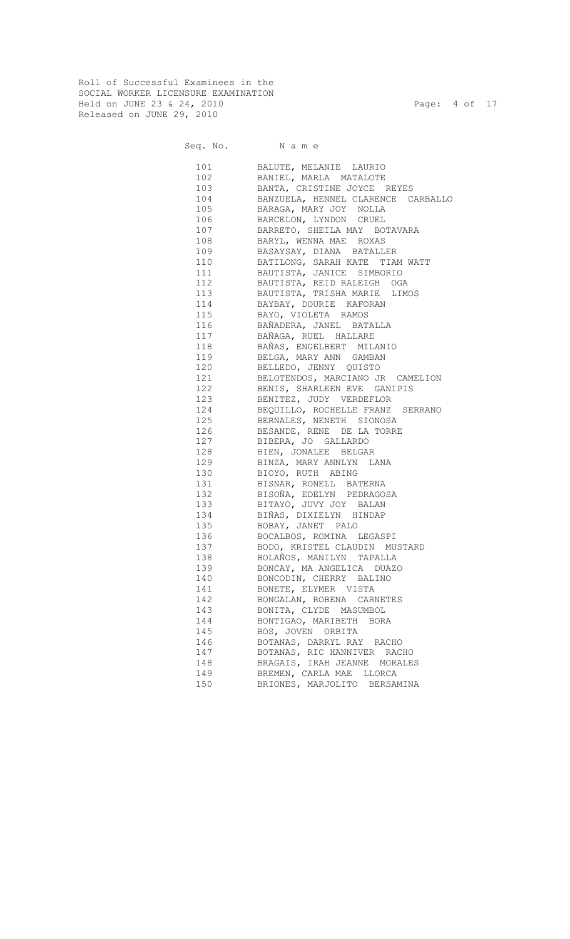Roll of Successful Examinees in the SOCIAL WORKER LICENSURE EXAMINATION Held on JUNE 23 & 24, 2010 Page: 4 of 17 Released on JUNE 29, 2010

|     | 101 BALUTE, MELANIE LAURIO             |
|-----|----------------------------------------|
| 102 | BANIEL, MARLA MATALOTE                 |
|     | 103 BANTA, CRISTINE JOYCE REYES        |
|     | 104 BANZUELA, HENNEL CLARENCE CARBALLO |
|     | 105 BARAGA, MARY JOY NOLLA             |
| 106 | BARCELON, LYNDON CRUEL                 |
| 107 | BARRETO, SHEILA MAY BOTAVARA           |
| 108 | BARYL, WENNA MAE ROXAS                 |
| 109 | BASAYSAY, DIANA BATALLER               |
| 110 | BATILONG, SARAH KATE TIAM WATT         |
| 111 | BAUTISTA, JANICE SIMBORIO              |
|     | 112 BAUTISTA, REID RALEIGH OGA         |
|     | 113 BAUTISTA, TRISHA MARIE LIMOS       |
|     | 114 BAYBAY, DOURIE KAFORAN             |
| 115 | BAYO, VIOLETA RAMOS                    |
| 116 | BAÑADERA, JANEL BATALLA                |
| 117 | BAÑAGA, RUEL HALLARE                   |
| 118 | BAÑAS, ENGELBERT MILANIO               |
| 119 | BELGA, MARY ANN GAMBAN                 |
|     | 120 BELLEDO, JENNY QUISTO              |
|     | 121 BELOTENDOS, MARCIANO JR CAMELION   |
|     | 122 BENIS, SHARLEEN EVE GANIPIS        |
|     | 123 BENITEZ, JUDY VERDEFLOR            |
| 124 | BEQUILLO, ROCHELLE FRANZ SERRANO       |
| 125 | BERNALES, NENETH SIONOSA               |
| 126 | BESANDE, RENE DE LA TORRE              |
| 127 | BIBERA, JO GALLARDO                    |
| 128 | BIEN, JONALEE BELGAR                   |
|     | 129 BINZA, MARY ANNLYN LANA            |
|     | 130 BIOYO, RUTH ABING                  |
|     | 131 BISNAR, RONELL BATERNA             |
| 132 | BISOÑA, EDELYN PEDRAGOSA               |
| 133 | BITAYO, JUVY JOY BALAN                 |
| 134 | BIÑAS, DIXIELYN HINDAP                 |
| 135 | BOBAY, JANET PALO                      |
| 136 | BOCALBOS, ROMINA LEGASPI               |
| 137 | BODO, KRISTEL CLAUDIN MUSTARD          |
| 138 | BOLAÑOS, MANILYN TAPALLA               |
| 139 | BONCAY, MA ANGELICA DUAZO              |
| 140 | BONCODIN, CHERRY BALINO                |
| 141 | BONETE, ELYMER VISTA                   |
| 142 | BONGALAN, ROBENA CARNETES              |
| 143 | BONITA, CLYDE MASUMBOL                 |
| 144 | BONTIGAO, MARIBETH BORA                |
| 145 | BOS, JOVEN ORBITA                      |
| 146 | BOTANAS, DARRYL RAY RACHO              |
| 147 | BOTANAS, RIC HANNIVER RACHO            |
| 148 | BRAGAIS, IRAH JEANNE MORALES           |
| 149 | BREMEN, CARLA MAE LLORCA               |
| 150 | BRIONES, MARJOLITO BERSAMINA           |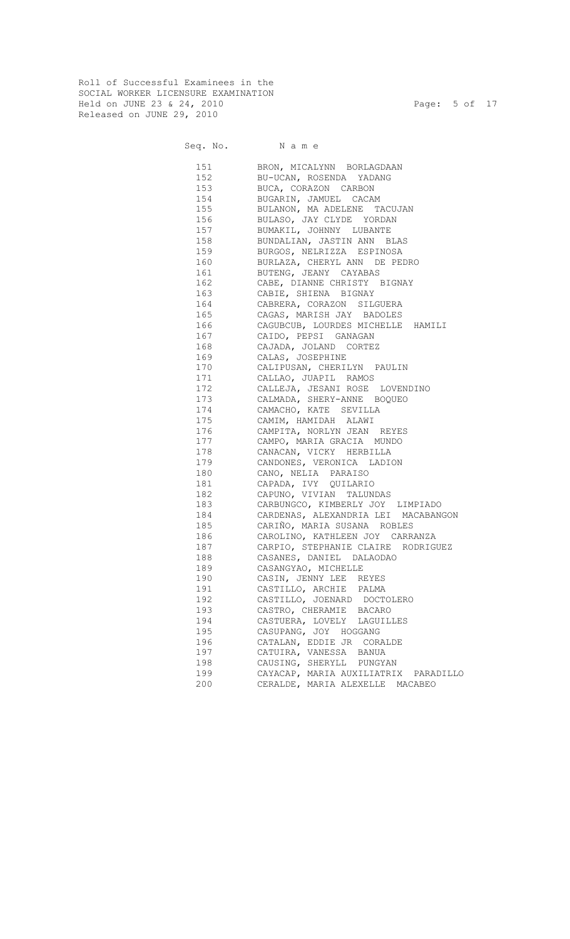Roll of Successful Examinees in the SOCIAL WORKER LICENSURE EXAMINATION Held on JUNE 23 & 24, 2010 Page: 5 of 17 Released on JUNE 29, 2010

| 151 7                                                                                                                                                                                                                                                       | BRON, MICALYNN BORLAGDAAN            |
|-------------------------------------------------------------------------------------------------------------------------------------------------------------------------------------------------------------------------------------------------------------|--------------------------------------|
| 152 and $\sim$                                                                                                                                                                                                                                              | BU-UCAN, ROSENDA YADANG              |
| 153                                                                                                                                                                                                                                                         | BUCA, CORAZON CARBON                 |
| 154                                                                                                                                                                                                                                                         | BUGARIN, JAMUEL CACAM                |
| 155                                                                                                                                                                                                                                                         | BULANON, MA ADELENE TACUJAN          |
| 156                                                                                                                                                                                                                                                         | BULASO, JAY CLYDE YORDAN             |
| 157                                                                                                                                                                                                                                                         | BUMAKIL, JOHNNY LUBANTE              |
| 158                                                                                                                                                                                                                                                         | BUNDALIAN, JASTIN ANN BLAS           |
| 159                                                                                                                                                                                                                                                         | BURGOS, NELRIZZA ESPINOSA            |
| 160                                                                                                                                                                                                                                                         | BURLAZA, CHERYL ANN DE PEDRO         |
| 161 000                                                                                                                                                                                                                                                     | BUTENG, JEANY CAYABAS                |
| 162 200                                                                                                                                                                                                                                                     | CABE, DIANNE CHRISTY BIGNAY          |
| 163                                                                                                                                                                                                                                                         | CABIE, SHIENA BIGNAY                 |
| 164                                                                                                                                                                                                                                                         | CABRERA, CORAZON SILGUERA            |
| 165                                                                                                                                                                                                                                                         | CAGAS, MARISH JAY BADOLES            |
| 166                                                                                                                                                                                                                                                         | CAGUBCUB, LOURDES MICHELLE HAMILI    |
| 167                                                                                                                                                                                                                                                         | CAIDO, PEPSI GANAGAN                 |
| 168                                                                                                                                                                                                                                                         | CAJADA, JOLAND CORTEZ                |
| 169 — 169 — 169 — 169 — 169 — 169 — 169 — 169 — 169 — 169 — 169 — 169 — 169 — 169 — 169 — 169 — 169 $\sim$ 169 $\sim$ 169 $\sim$ 169 $\sim$ 169 $\sim$ 169 $\sim$ 169 $\sim$ 169 $\sim$ 169 $\sim$ 169 $\sim$ 169 $\sim$ 169 $\sim$ 160 $\sim$ 160 $\sim$ 1 | CALAS, JOSEPHINE                     |
| 170                                                                                                                                                                                                                                                         | CALIPUSAN, CHERILYN PAULIN           |
| 171 — 171 — 171 — 171 — 171 — 171 — 171 — 171 — 171 — 171 — 171 — 171 — 171 — 171 — 171 — 171 — 171 — 171 — 171 — 171 — 171 — 171 — 171 — 171 — 171 — 171 — 171 — 171 — 171 — 171 — 171 — 171 — 171 — 171 — 171 — 171 — 171 — 1                             | CALLAO, JUAPIL RAMOS                 |
| 172                                                                                                                                                                                                                                                         | CALLEJA, JESANI ROSE LOVENDINO       |
| 173                                                                                                                                                                                                                                                         | CALMADA, SHERY-ANNE BOQUEO           |
| 174                                                                                                                                                                                                                                                         | CAMACHO, KATE SEVILLA                |
| 175                                                                                                                                                                                                                                                         | CAMIM, HAMIDAH ALAWI                 |
| 176                                                                                                                                                                                                                                                         | CAMPITA, NORLYN JEAN REYES           |
| 177                                                                                                                                                                                                                                                         | CAMPO, MARIA GRACIA MUNDO            |
| 178                                                                                                                                                                                                                                                         | CANACAN, VICKY HERBILLA              |
| 179                                                                                                                                                                                                                                                         | CANDONES, VERONICA LADION            |
| 180 7                                                                                                                                                                                                                                                       | CANO, NELIA PARAISO                  |
| 181 — 181 — 182 — 182 — 182 — 182 — 182 — 182 — 182 — 182 — 182 — 182 — 182 — 182 — 182 — 182 — 182 — 182 — 182 — 182 — 182 — 182 — 182 — 182 — 182 — 182 — 182 — 182 — 182 — 182 — 182 — 182 — 182 — 182 — 182 — 182 — 182 — 1                             | CAPADA, IVY QUILARIO                 |
| 182                                                                                                                                                                                                                                                         | CAPUNO, VIVIAN TALUNDAS              |
| 183                                                                                                                                                                                                                                                         | CARBUNGCO, KIMBERLY JOY LIMPIADO     |
| 184                                                                                                                                                                                                                                                         | CARDENAS, ALEXANDRIA LEI MACABANGON  |
| 185                                                                                                                                                                                                                                                         | CARIÑO, MARIA SUSANA ROBLES          |
| 186                                                                                                                                                                                                                                                         | CAROLINO, KATHLEEN JOY CARRANZA      |
| 187                                                                                                                                                                                                                                                         | CARPIO, STEPHANIE CLAIRE RODRIGUEZ   |
| 188 — 188 — 189 — 189 — 189 — 189 — 189 — 189 — 189 — 189 — 189 — 189 — 189 — 189 — 189 — 189 — 189 — 189 — 189 — 189 — 189 — 189 — 189 — 189 — 189 — 189 — 189 — 189 — 189 — 189 — 189 — 189 — 189 — 189 — 189 — 189 — 189 — 1                             | CASANES, DANIEL DALAODAO             |
| 189                                                                                                                                                                                                                                                         | CASANGYAO, MICHELLE                  |
| 190                                                                                                                                                                                                                                                         | CASIN, JENNY LEE REYES               |
| 191                                                                                                                                                                                                                                                         | CASTILLO, ARCHIE PALMA               |
| 192                                                                                                                                                                                                                                                         | CASTILLO, JOENARD DOCTOLERO          |
| 193                                                                                                                                                                                                                                                         | CASTRO, CHERAMIE BACARO              |
| 194                                                                                                                                                                                                                                                         | CASTUERA, LOVELY LAGUILLES           |
| 195                                                                                                                                                                                                                                                         | CASUPANG, JOY HOGGANG                |
| 196                                                                                                                                                                                                                                                         | CATALAN, EDDIE JR CORALDE            |
| 197                                                                                                                                                                                                                                                         | CATUIRA, VANESSA BANUA               |
| 198                                                                                                                                                                                                                                                         | CAUSING, SHERYLL PUNGYAN             |
| 199                                                                                                                                                                                                                                                         | CAYACAP, MARIA AUXILIATRIX PARADILLO |
| 200                                                                                                                                                                                                                                                         | CERALDE, MARIA ALEXELLE MACABEO      |
|                                                                                                                                                                                                                                                             |                                      |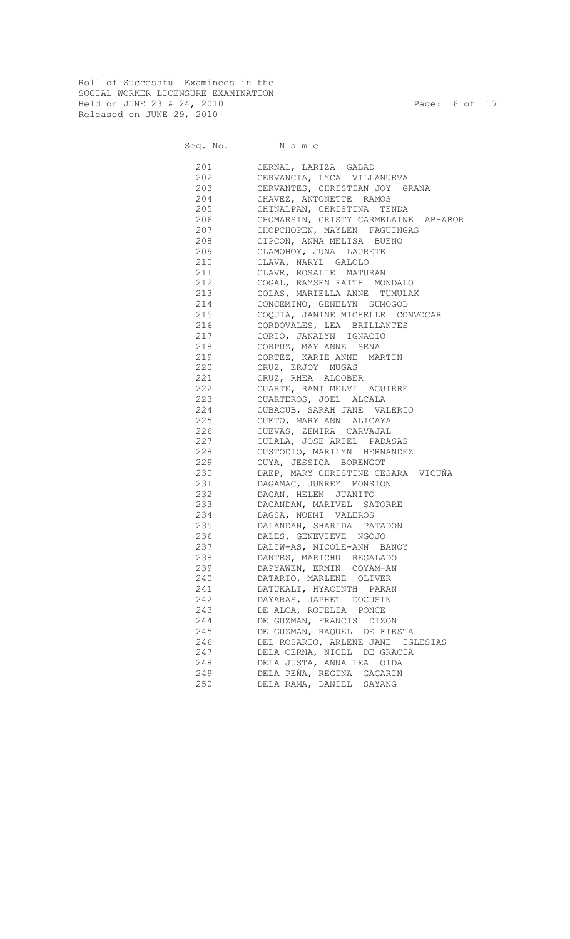Roll of Successful Examinees in the SOCIAL WORKER LICENSURE EXAMINATION Held on JUNE 23 & 24, 2010 Page: 6 of 17 Released on JUNE 29, 2010

| 201 | CERNAL, LARIZA GABAD                 |
|-----|--------------------------------------|
| 202 | CERVANCIA, LYCA VILLANUEVA           |
| 203 | CERVANTES, CHRISTIAN JOY GRANA       |
| 204 | CHAVEZ, ANTONETTE RAMOS              |
| 205 | CHINALPAN, CHRISTINA TENDA           |
| 206 | CHOMARSIN, CRISTY CARMELAINE AB-ABOR |
| 207 | CHOPCHOPEN, MAYLEN FAGUINGAS         |
| 208 | CIPCON, ANNA MELISA BUENO            |
| 209 | CLAMOHOY, JUNA LAURETE               |
| 210 | CLAVA, NARYL GALOLO                  |
| 211 | CLAVE, ROSALIE MATURAN               |
| 212 | COGAL, RAYSEN FAITH MONDALO          |
| 213 | COLAS, MARIELLA ANNE TUMULAK         |
| 214 | CONCEMINO, GENELYN SUMOGOD           |
| 215 | COQUIA, JANINE MICHELLE CONVOCAR     |
| 216 | CORDOVALES, LEA BRILLANTES           |
| 217 | CORIO, JANALYN IGNACIO               |
| 218 | CORPUZ, MAY ANNE SENA                |
| 219 | CORTEZ, KARIE ANNE MARTIN            |
| 220 | CRUZ, ERJOY MUGAS                    |
| 221 | CRUZ, RHEA ALCOBER                   |
| 222 | CUARTE, RANI MELVI AGUIRRE           |
| 223 | CUARTEROS, JOEL ALCALA               |
| 224 | CUBACUB, SARAH JANE VALERIO          |
| 225 | CUETO, MARY ANN ALICAYA              |
| 226 | CUEVAS, ZEMIRA CARVAJAL              |
| 227 | CULALA, JOSE ARIEL PADASAS           |
| 228 | CUSTODIO, MARILYN HERNANDEZ          |
| 229 | CUYA, JESSICA BORENGOT               |
| 230 | DAEP, MARY CHRISTINE CESARA VICUÑA   |
| 231 | DAGAMAC, JUNREY MONSION              |
| 232 | DAGAN, HELEN JUANITO                 |
| 233 | DAGANDAN, MARIVEL SATORRE            |
| 234 | DAGSA, NOEMI VALEROS                 |
| 235 | DALANDAN, SHARIDA PATADON            |
| 236 | DALES, GENEVIEVE NGOJO               |
| 237 | DALIW-AS, NICOLE-ANN BANOY           |
| 238 | DANTES, MARICHU REGALADO             |
| 239 | DAPYAWEN, ERMIN COYAM-AN             |
| 240 | DATARIO, MARLENE OLIVER              |
| 241 | DATUKALI, HYACINTH PARAN             |
| 242 | DAYARAS, JAPHET DOCUSIN              |
| 243 | DE ALCA, ROFELIA PONCE               |
| 244 | DE GUZMAN, FRANCIS DIZON             |
| 245 | DE GUZMAN, RAQUEL DE FIESTA          |
| 246 | DEL ROSARIO, ARLENE JANE IGLESIAS    |
| 247 | DELA CERNA, NICEL DE GRACIA          |
| 248 | DELA JUSTA, ANNA LEA OIDA            |
| 249 | DELA PEÑA, REGINA GAGARIN            |
| 250 | DELA RAMA, DANIEL<br>SAYANG          |
|     |                                      |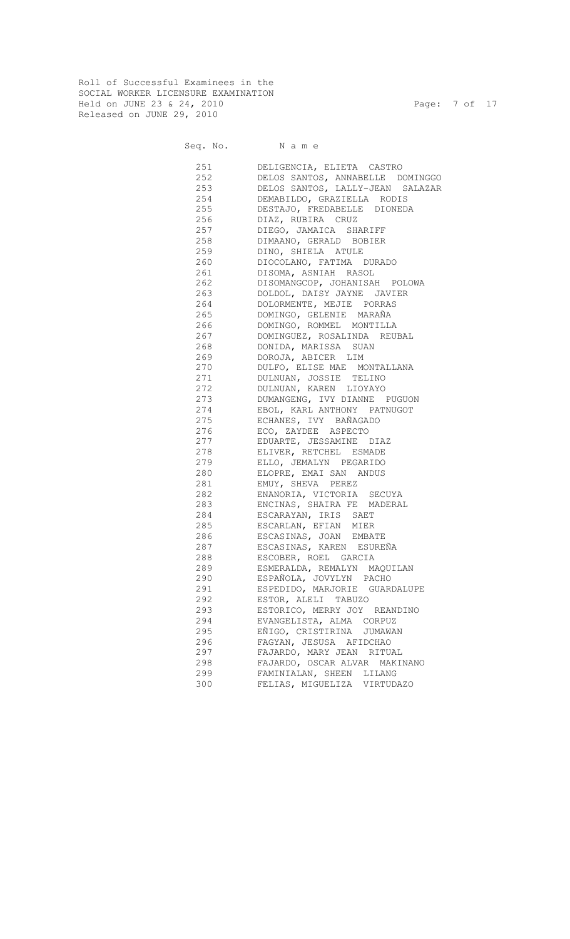Roll of Successful Examinees in the SOCIAL WORKER LICENSURE EXAMINATION Held on JUNE 23 & 24, 2010 Page: 7 of 17 Released on JUNE 29, 2010

| Seq. No.<br>Name |  |  |  |  |  |  |  |
|------------------|--|--|--|--|--|--|--|
|------------------|--|--|--|--|--|--|--|

| 251     | DELIGENCIA, ELIETA CASTRO        |
|---------|----------------------------------|
| 252     | DELOS SANTOS, ANNABELLE DOMINGGO |
| 253     | DELOS SANTOS, LALLY-JEAN SALAZAR |
| 254     | DEMABILDO, GRAZIELLA RODIS       |
| 255     | DESTAJO, FREDABELLE DIONEDA      |
| 256     | DIAZ, RUBIRA CRUZ                |
| 257     | DIEGO, JAMAICA SHARIFF           |
| 258     | DIMAANO, GERALD BOBIER           |
| 259     | DINO, SHIELA ATULE               |
| 260     | DIOCOLANO, FATIMA DURADO         |
| 261 200 | DISOMA, ASNIAH RASOL             |
| 262     | DISOMANGCOP, JOHANISAH POLOWA    |
| 263     | DOLDOL, DAISY JAYNE JAVIER       |
| 264     | DOLORMENTE, MEJIE PORRAS         |
| 265     | DOMINGO, GELENIE MARAÑA          |
| 266     | DOMINGO, ROMMEL MONTILLA         |
| 267     | DOMINGUEZ, ROSALINDA REUBAL      |
| 268     | DONIDA, MARISSA SUAN             |
| 269     | DOROJA, ABICER LIM               |
| 270     | DULFO, ELISE MAE MONTALLANA      |
| 271     | DULNUAN, JOSSIE TELINO           |
| 272     | DULNUAN, KAREN LIOYAYO           |
| 273     | DUMANGENG, IVY DIANNE PUGUON     |
| 274     | EBOL, KARL ANTHONY PATNUGOT      |
| 275     | ECHANES, IVY BAÑAGADO            |
| 276     | ECO, ZAYDEE ASPECTO              |
| 277     | EDUARTE, JESSAMINE DIAZ          |
| 278     | ELIVER, RETCHEL ESMADE           |
| 279     | ELLO, JEMALYN PEGARIDO           |
|         | 280 ELOPRE, EMAI SAN ANDUS       |
| 281 28  | EMUY, SHEVA PEREZ                |
| 282     | ENANORIA, VICTORIA SECUYA        |
| 283     | ENCINAS, SHAIRA FE MADERAL       |
| 284     | ESCARAYAN, IRIS SAET             |
| 285     | ESCARLAN, EFIAN MIER             |
| 286     | ESCASINAS, JOAN EMBATE           |
| 287     | ESCASINAS, KAREN ESUREÑA         |
|         | ESCOBER, ROEL GARCIA             |
| 289     | ESMERALDA, REMALYN MAQUILAN      |
| 290     | ESPAÑOLA, JOVYLYN PACHO          |
| 291     | ESPEDIDO, MARJORIE GUARDALUPE    |
| 292     | ESTOR, ALELI TABUZO              |
| 293     | ESTORICO, MERRY JOY REANDINO     |
| 294     | EVANGELISTA, ALMA CORPUZ         |
| 295     | EÑIGO, CRISTIRINA JUMAWAN        |
| 296     | FAGYAN, JESUSA AFIDCHAO          |
| 297     | FAJARDO, MARY JEAN RITUAL        |
| 298     | FAJARDO, OSCAR ALVAR MAKINANO    |
| 299     | FAMINIALAN, SHEEN<br>LILANG      |
| 300     | FELIAS, MIGUELIZA VIRTUDAZO      |
|         |                                  |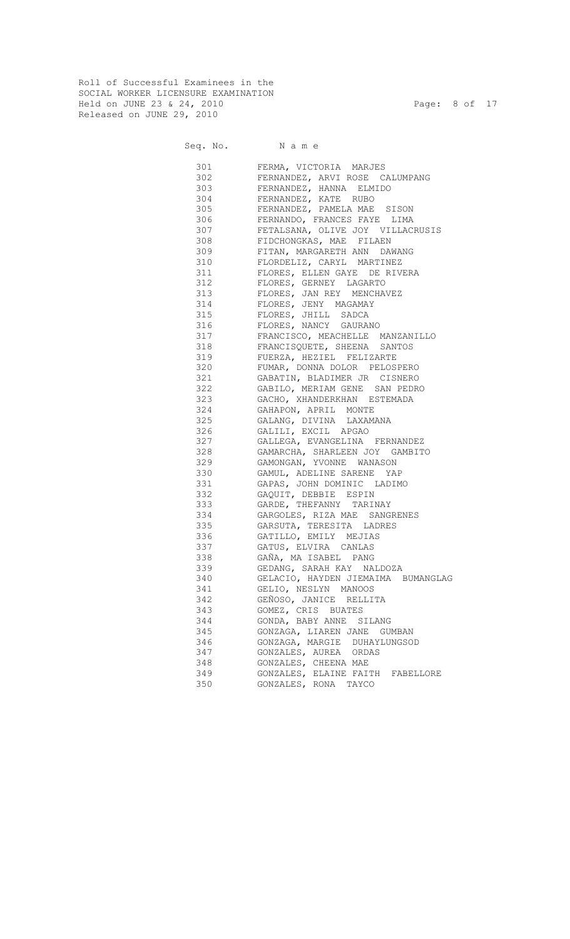Roll of Successful Examinees in the SOCIAL WORKER LICENSURE EXAMINATION Held on JUNE 23 & 24, 2010 Page: 8 of 17 Released on JUNE 29, 2010

| 301     | FERMA, VICTORIA MARJES             |
|---------|------------------------------------|
| 302     | FERNANDEZ, ARVI ROSE CALUMPANG     |
| 303     | FERNANDEZ, HANNA ELMIDO            |
|         | 304 FERNANDEZ, KATE RUBO           |
|         | 305 FERNANDEZ, PAMELA MAE SISON    |
|         | 306 FERNANDO, FRANCES FAYE LIMA    |
| 307     | FETALSANA, OLIVE JOY VILLACRUSIS   |
| 308     | FIDCHONGKAS, MAE FILAEN            |
| 309     | FITAN, MARGARETH ANN DAWANG        |
| 310     | FLORDELIZ, CARYL MARTINEZ          |
| 311     | FLORES, ELLEN GAYE DE RIVERA       |
|         | 312 FLORES, GERNEY LAGARTO         |
|         | 313 FLORES, JAN REY MENCHAVEZ      |
|         | 314 FLORES, JENY MAGAMAY           |
|         | 315 FLORES, JHILL SADCA            |
|         | 316 FLORES, NANCY GAURANO          |
| 317     | FRANCISCO, MEACHELLE MANZANILLO    |
| 318     | FRANCISQUETE, SHEENA SANTOS        |
| 319     | FUERZA, HEZIEL FELIZARTE           |
| 320     | FUMAR, DONNA DOLOR PELOSPERO       |
|         | 321 GABATIN, BLADIMER JR CISNERO   |
|         | 322 GABILO, MERIAM GENE SAN PEDRO  |
|         | 323 GACHO, XHANDERKHAN ESTEMADA    |
| 324     | GAHAPON, APRIL MONTE               |
| 325     | GALANG, DIVINA LAXAMANA            |
| 326     | GALILI, EXCIL APGAO                |
| 327     | GALLEGA, EVANGELINA FERNANDEZ      |
| 328     | GAMARCHA, SHARLEEN JOY GAMBITO     |
| 329     | GAMONGAN, YVONNE WANASON           |
| 330 330 | GAMUL, ADELINE SARENE YAP          |
|         | 331 GAPAS, JOHN DOMINIC LADIMO     |
|         | 332 GAQUIT, DEBBIE ESPIN           |
| 333     | GARDE, THEFANNY TARINAY            |
| 334     | GARGOLES, RIZA MAE SANGRENES       |
| 335     | GARSUTA, TERESITA LADRES           |
| 336     | GATILLO, EMILY MEJIAS              |
| 337     | GATUS, ELVIRA CANLAS               |
| 338     | GAÑA, MA ISABEL PANG               |
| 339     | GEDANG, SARAH KAY NALDOZA          |
| 340     | GELACIO, HAYDEN JIEMAIMA BUMANGLAG |
| 341     | GELIO, NESLYN MANOOS               |
| 342     | GEÑOSO, JANICE RELLITA             |
| 343     | GOMEZ, CRIS BUATES                 |
| 344     | GONDA, BABY ANNE SILANG            |
| 345     | GONZAGA, LIAREN JANE GUMBAN        |
| 346     | GONZAGA, MARGIE DUHAYLUNGSOD       |
| 347     | GONZALES, AUREA ORDAS              |
| 348     | GONZALES, CHEENA MAE               |
| 349     | GONZALES, ELAINE FAITH FABELLORE   |
| 350     | GONZALES, RONA<br>TAYCO            |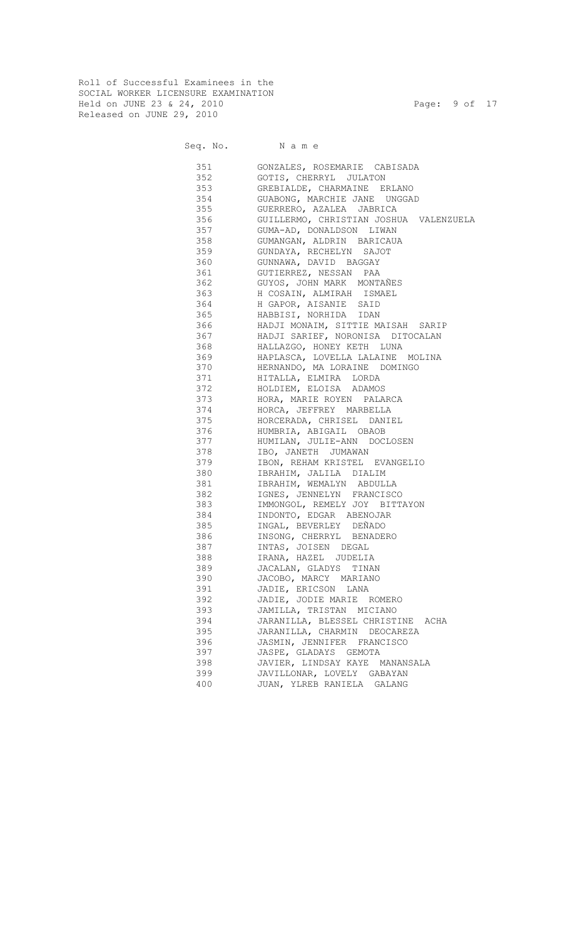Roll of Successful Examinees in the SOCIAL WORKER LICENSURE EXAMINATION Held on JUNE 23 & 24, 2010 Page: 9 of 17 Released on JUNE 29, 2010

|     | Seq. No. Name                              |
|-----|--------------------------------------------|
| 351 | GONZALES, ROSEMARIE CABISADA               |
| 352 | GOTIS, CHERRYL JULATON                     |
| 353 | GREBIALDE, CHARMAINE ERLANO                |
| 354 | GUABONG, MARCHIE JANE UNGGAD               |
|     | 355 GUERRERO, AZALEA JABRICA               |
|     | 356 GUILLERMO, CHRISTIAN JOSHUA VALENZUELA |
|     | 357 GUMA-AD, DONALDSON LIWAN               |
|     | 358 GUMANGAN, ALDRIN BARICAUA              |
|     | 359 GUNDAYA, RECHELYN SAJOT                |
| 360 | GUNNAWA, DAVID BAGGAY                      |
| 361 | GUTIERREZ, NESSAN PAA                      |
| 362 | GUYOS, JOHN MARK MONTAÑES                  |
| 363 | H COSAIN, ALMIRAH ISMAEL                   |
|     | 364 H GAPOR, AISANIE SAID                  |
|     | 365 HABBISI, NORHIDA IDAN                  |
|     | 366 HADJI MONAIM, SITTIE MAISAH SARIP      |
|     | 367 HADJI SARIEF, NORONISA DITOCALAN       |
|     | 368 HALLAZGO, HONEY KETH LUNA              |
| 369 | HAPLASCA, LOVELLA LALAINE MOLINA           |
| 370 | HERNANDO, MA LORAINE DOMINGO               |
| 371 | HITALLA, ELMIRA LORDA                      |
| 372 | HOLDIEM, ELOISA ADAMOS                     |
|     | 373 HORA, MARIE ROYEN PALARCA              |
|     | 374 HORCA, JEFFREY MARBELLA                |
|     | 375 HORCERADA, CHRISEL DANIEL              |
|     | 376 HUMBRIA, ABIGAIL OBAOB                 |
|     | 377 HUMILAN, JULIE-ANN DOCLOSEN            |
| 378 | IBO, JANETH JUMAWAN                        |
| 379 | IBON, REHAM KRISTEL EVANGELIO              |
| 380 | IBRAHIM, JALILA DIALIM                     |
| 381 | IBRAHIM, WEMALYN ABDULLA                   |
|     | 382 IGNES, JENNELYN FRANCISCO              |
|     | 383 IMMONGOL, REMELY JOY BITTAYON          |
|     | 384 INDONTO, EDGAR ABENOJAR                |
|     | 385 INGAL, BEVERLEY DEÑADO                 |
| 386 | INSONG, CHERRYL BENADERO                   |
| 387 | INTAS, JOISEN DEGAL                        |
| 388 | IRANA, HAZEL JUDELIA                       |
| 389 | JACALAN, GLADYS TINAN                      |
| 390 | JACOBO, MARCY MARIANO                      |
| 391 | JADIE, ERICSON LANA                        |
| 392 | JADIE, JODIE MARIE ROMERO                  |
| 393 | JAMILLA, TRISTAN MICIANO                   |
| 394 | JARANILLA, BLESSEL CHRISTINE ACHA          |
| 395 | JARANILLA, CHARMIN DEOCAREZA               |
| 396 | JASMIN, JENNIFER FRANCISCO                 |
| 397 | JASPE, GLADAYS GEMOTA                      |
| 398 | JAVIER, LINDSAY KAYE MANANSALA             |
| 399 | JAVILLONAR, LOVELY GABAYAN                 |
| 400 | JUAN, YLREB RANIELA GALANG                 |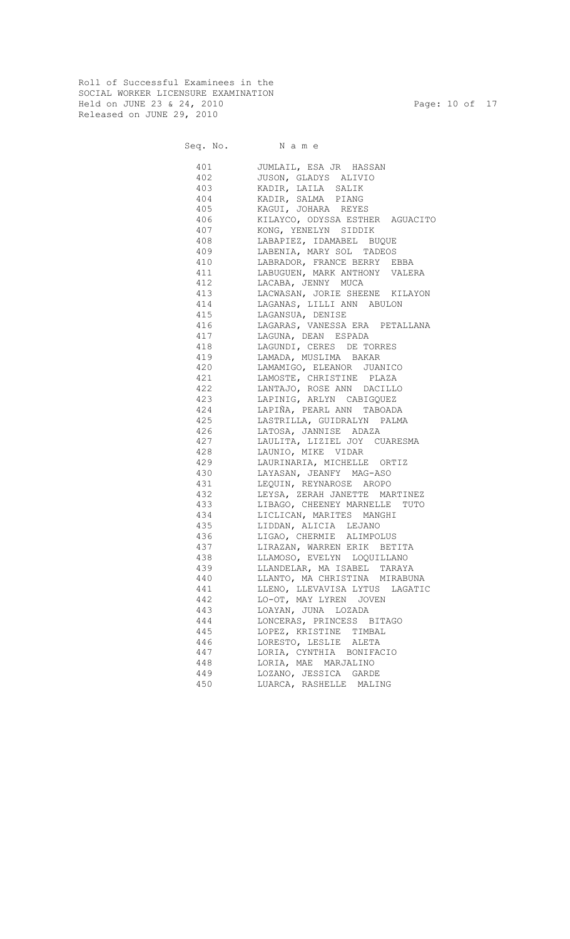Roll of Successful Examinees in the SOCIAL WORKER LICENSURE EXAMINATION Held on JUNE 23 & 24, 2010 Page: 10 of 17 Released on JUNE 29, 2010

Seq. No. Name 401 JUMLAIL, ESA JR HASSAN 402 JUSON, GLADYS ALIVIO 403 KADIR, LAILA SALIK 404 KADIR, SALMA PIANG 405 KAGUI, JOHARA REYES 406 KILAYCO, ODYSSA ESTHER AGUACITO 407 KONG, YENELYN SIDDIK 408 LABAPIEZ, IDAMABEL BUQUE LABENIA, MARY SOL TADEOS 410 LABRADOR, FRANCE BERRY EBBA 411 LABUGUEN, MARK ANTHONY VALERA 412 LACABA, JENNY MUCA 413 LACWASAN, JORIE SHEENE KILAYON<br>414 LAGANAS, LILLI ANN ABULON LAGANAS, LILLI ANN ABULON 415 LAGANSUA, DENISE 416 LAGARAS, VANESSA ERA PETALLANA 417 LAGUNA, DEAN ESPADA 418 LAGUNDI, CERES DE TORRES 419 LAMADA, MUSLIMA BAKAR LAMAMIGO, ELEANOR JUANICO 421 LAMOSTE, CHRISTINE PLAZA 422 LANTAJO, ROSE ANN DACILLO 423 LAPINIG, ARLYN CABIGQUEZ 424 LAPIÑA, PEARL ANN TABOADA 425 LASTRILLA, GUIDRALYN PALMA 426 LATOSA, JANNISE ADAZA 427 LAULITA, LIZIEL JOY CUARESMA 428 LAUNIO, MIKE VIDAR 429 LAURINARIA, MICHELLE ORTIZ LAYASAN, JEANFY MAG-ASO 431 LEQUIN, REYNAROSE AROPO 432 LEYSA, ZERAH JANETTE MARTINEZ 433 LIBAGO, CHEENEY MARNELLE TUTO 434 LICLICAN, MARITES MANGHI 435 LIDDAN, ALICIA LEJANO 436 LIGAO, CHERMIE ALIMPOLUS 437 LIRAZAN, WARREN ERIK BETITA 438 LLAMOSO, EVELYN LOQUILLANO 439 LLANDELAR, MA ISABEL TARAYA 440 LLANTO, MA CHRISTINA MIRABUNA 441 LLENO, LLEVAVISA LYTUS LAGATIC 442 LO-OT, MAY LYREN JOVEN 443 LOAYAN, JUNA LOZADA 444 LONCERAS, PRINCESS BITAGO 445 LOPEZ, KRISTINE TIMBAL 446 LORESTO, LESLIE ALETA 447 LORIA, CYNTHIA BONIFACIO 448 LORIA, MAE MARJALINO 449 LOZANO, JESSICA GARDE 450 LUARCA, RASHELLE MALING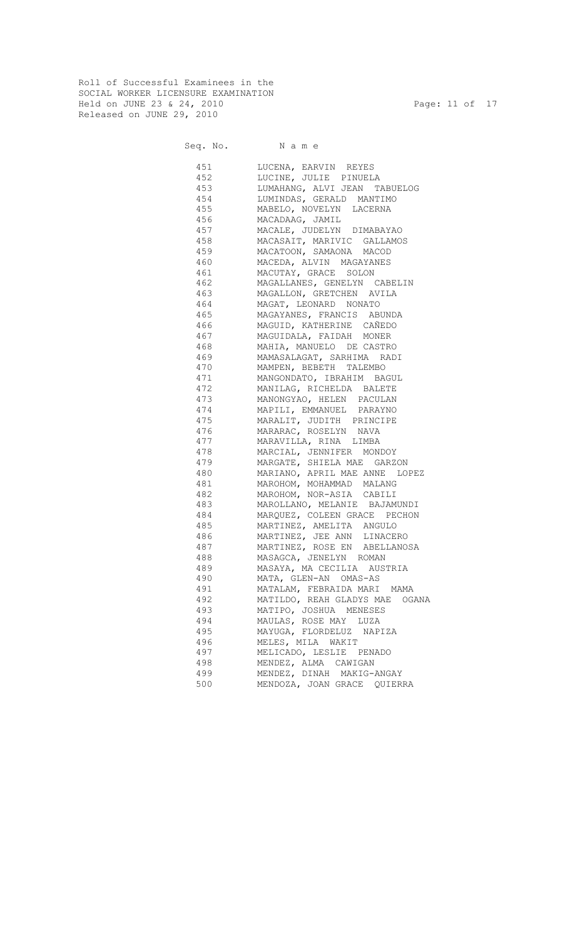Roll of Successful Examinees in the SOCIAL WORKER LICENSURE EXAMINATION Held on JUNE 23 & 24, 2010 Page: 11 of 17 Released on JUNE 29, 2010

|     | Seq. No. Name                    |
|-----|----------------------------------|
| 451 | LUCENA, EARVIN REYES             |
| 452 | LUCINE, JULIE PINUELA            |
| 453 | LUMAHANG, ALVI JEAN TABUELOG     |
| 454 | LUMINDAS, GERALD MANTIMO         |
|     | 455 MABELO, NOVELYN LACERNA      |
|     | 456 MACADAAG, JAMIL              |
|     | 457 MACALE, JUDELYN DIMABAYAO    |
| 458 | MACASAIT, MARIVIC GALLAMOS       |
| 459 | MACATOON, SAMAONA MACOD          |
| 460 | MACEDA, ALVIN MAGAYANES          |
| 461 | MACUTAY, GRACE SOLON             |
| 462 | MAGALLANES, GENELYN CABELIN      |
|     | 463 MAGALLON, GRETCHEN AVILA     |
|     | 464 MAGAT, LEONARD NONATO        |
|     | 465 MAGAYANES, FRANCIS ABUNDA    |
|     | 466 MAGUID, KATHERINE CAÑEDO     |
| 467 | MAGUIDALA, FAIDAH MONER          |
| 468 | MAHIA, MANUELO DE CASTRO         |
| 469 | MAMASALAGAT, SARHIMA RADI        |
| 470 | MAMPEN, BEBETH TALEMBO           |
| 471 | MANGONDATO, IBRAHIM BAGUL        |
| 472 | MANILAG, RICHELDA BALETE         |
|     | 473 MANONGYAO, HELEN PACULAN     |
|     | 474 MAPILI, EMMANUEL PARAYNO     |
|     | 475 MARALIT, JUDITH PRINCIPE     |
|     | 476 MARARAC, ROSELYN NAVA        |
| 477 | MARAVILLA, RINA LIMBA            |
| 478 | MARCIAL, JENNIFER MONDOY         |
| 479 | MARGATE, SHIELA MAE GARZON       |
| 480 | MARIANO, APRIL MAE ANNE LOPEZ    |
|     | 481 MAROHOM, MOHAMMAD MALANG     |
|     | 482 MAROHOM, NOR-ASIA CABILI     |
|     | 483 MAROLLANO, MELANIE BAJAMUNDI |
|     | 484 MARQUEZ, COLEEN GRACE PECHON |
| 485 | MARTINEZ, AMELITA ANGULO         |
| 486 | MARTINEZ, JEE ANN LINACERO       |
| 487 | MARTINEZ, ROSE EN ABELLANOSA     |
| 488 | MASAGCA, JENELYN ROMAN           |
| 489 | MASAYA, MA CECILIA AUSTRIA       |
| 490 | MATA, GLEN-AN OMAS-AS            |
| 491 | MATALAM, FEBRAIDA MARI MAMA      |
| 492 | MATILDO, REAH GLADYS MAE OGANA   |
| 493 | MATIPO, JOSHUA MENESES           |
| 494 | MAULAS, ROSE MAY LUZA            |
| 495 | MAYUGA, FLORDELUZ NAPIZA         |
| 496 | MELES, MILA WAKIT                |
| 497 | MELICADO, LESLIE PENADO          |
| 498 | MENDEZ, ALMA CAWIGAN             |
| 499 | MENDEZ, DINAH MAKIG-ANGAY        |
| 500 | MENDOZA, JOAN GRACE QUIERRA      |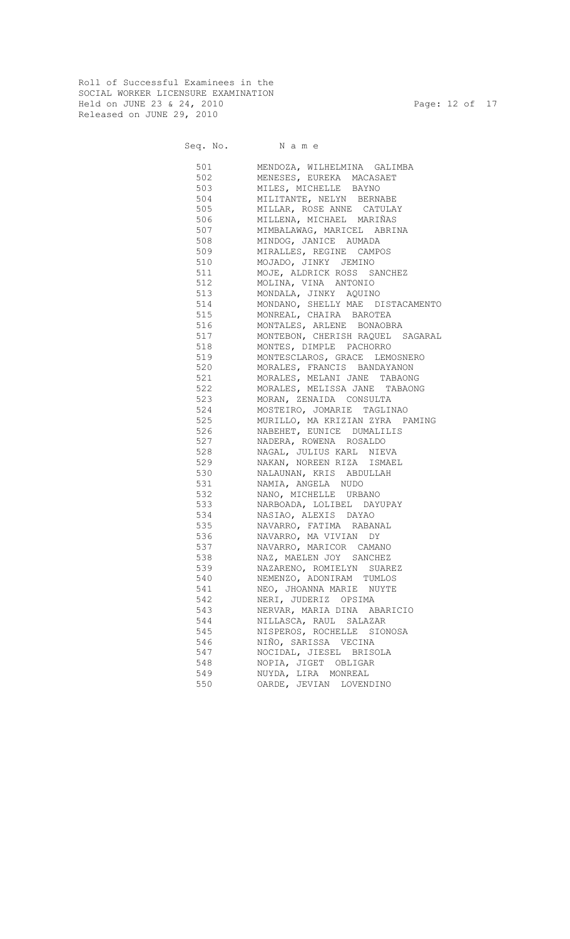Roll of Successful Examinees in the SOCIAL WORKER LICENSURE EXAMINATION Held on JUNE 23 & 24, 2010 Page: 12 of 17 Released on JUNE 29, 2010

| 501 700 | MENDOZA, WILHELMINA GALIMBA      |
|---------|----------------------------------|
|         | MENESES, EUREKA MACASAET         |
|         | MILES, MICHELLE BAYNO            |
| 504     | MILITANTE, NELYN BERNABE         |
| 505     | MILLAR, ROSE ANNE CATULAY        |
| 506     | MILLENA, MICHAEL MARIÑAS         |
| 507     | MIMBALAWAG, MARICEL ABRINA       |
| 508     | MINDOG, JANICE AUMADA            |
| 509     | MIRALLES, REGINE CAMPOS          |
| 510     | MOJADO, JINKY JEMINO             |
|         | 511 MOJE, ALDRICK ROSS SANCHEZ   |
| 512     | MOLINA, VINA ANTONIO             |
| 513     | MONDALA, JINKY AQUINO            |
| 514     | MONDANO, SHELLY MAE DISTACAMENTO |
| 515     | MONREAL, CHAIRA BAROTEA          |
| 516     | MONTALES, ARLENE BONAOBRA        |
| 517     | MONTEBON, CHERISH RAQUEL SAGARAL |
| 518     | MONTES, DIMPLE PACHORRO          |
| 519     | MONTESCLAROS, GRACE LEMOSNERO    |
| 520 320 | MORALES, FRANCIS BANDAYANON      |
| 521 72  | MORALES, MELANI JANE TABAONG     |
| 522     | MORALES, MELISSA JANE TABAONG    |
| 523     | MORAN, ZENAIDA CONSULTA          |
| 524     | MOSTEIRO, JOMARIE TAGLINAO       |
| 525     | MURILLO, MA KRIZIAN ZYRA PAMING  |
| 526     | NABEHET, EUNICE DUMALILIS        |
| 527     | NADERA, ROWENA ROSALDO           |
| 528 32  | NAGAL, JULIUS KARL NIEVA         |
| 529     | NAKAN, NOREEN RIZA ISMAEL        |
| 530 30  | NALAUNAN, KRIS ABDULLAH          |
| 531     | NAMIA, ANGELA NUDO               |
| 532     | NANO, MICHELLE URBANO            |
| 533     | NARBOADA, LOLIBEL DAYUPAY        |
| 534     | NASIAO, ALEXIS DAYAO             |
| 535     | NAVARRO, FATIMA RABANAL          |
| 536     | NAVARRO, MA VIVIAN DY            |
| 537     | NAVARRO, MARICOR CAMANO          |
|         | 538 NAZ, MAELEN JOY SANCHEZ      |
| 539     | NAZARENO, ROMIELYN SUAREZ        |
| 540     | NEMENZO, ADONIRAM TUMLOS         |
| 541     | NEO, JHOANNA MARIE NUYTE         |
| 542     | NERI, JUDERIZ OPSIMA             |
| 543     | NERVAR, MARIA DINA ABARICIO      |
| 544     | NILLASCA, RAUL SALAZAR           |
| 545     | NISPEROS, ROCHELLE SIONOSA       |
| 546     | NIÑO, SARISSA VECINA             |
| 547     | NOCIDAL, JIESEL BRISOLA          |
| 548     | NOPIA, JIGET OBLIGAR             |
| 549     | NUYDA, LIRA MONREAL              |
| 550     | OARDE, JEVIAN LOVENDINO          |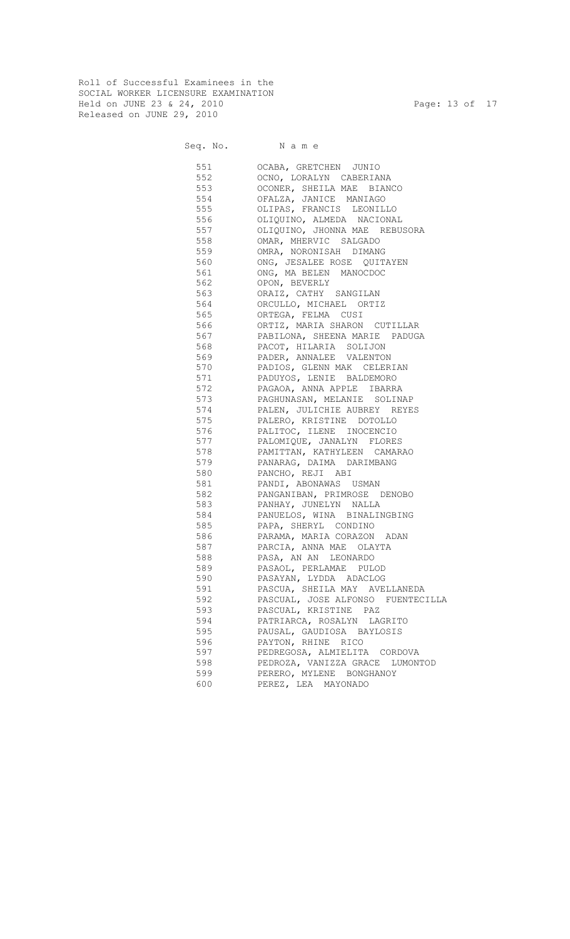Roll of Successful Examinees in the SOCIAL WORKER LICENSURE EXAMINATION Held on JUNE 23 & 24, 2010 Page: 13 of 17 Released on JUNE 29, 2010

|           | Seq. No. Name                     |
|-----------|-----------------------------------|
| 551       | OCABA, GRETCHEN JUNIO             |
| 552       | OCNO, LORALYN CABERIANA           |
| 553       | OCONER, SHEILA MAE BIANCO         |
| 554       | OFALZA, JANICE MANIAGO            |
| 555       | OLIPAS, FRANCIS LEONILLO          |
| 556       | OLIQUINO, ALMEDA NACIONAL         |
| 557       | OLIQUINO, JHONNA MAE REBUSORA     |
| 558       | OMAR, MHERVIC SALGADO             |
| 559       | OMRA, NORONISAH DIMANG            |
| 560       | ONG, JESALEE ROSE QUITAYEN        |
| 561       | ONG, MA BELEN MANOCDOC            |
| 562       | OPON, BEVERLY                     |
| 563       | ORAIZ, CATHY SANGILAN             |
| 564       | ORCULLO, MICHAEL ORTIZ            |
| 565 — 100 | ORTEGA, FELMA CUSI                |
| 566 700   | ORTIZ, MARIA SHARON CUTILLAR      |
| 567 — 100 | PABILONA, SHEENA MARIE PADUGA     |
| 568       | PACOT, HILARIA SOLIJON            |
| 569       | PADER, ANNALEE VALENTON           |
| 570       | PADIOS, GLENN MAK CELERIAN        |
| 571       | PADUYOS, LENIE BALDEMORO          |
| 572       | PAGAOA, ANNA APPLE IBARRA         |
| 573       | PAGHUNASAN, MELANIE SOLINAP       |
| 574 — 100 | PALEN, JULICHIE AUBREY REYES      |
| 575 — 100 | PALERO, KRISTINE DOTOLLO          |
| 576 37    | PALITOC, ILENE INOCENCIO          |
| 577       | PALOMIQUE, JANALYN FLORES         |
| 578       | PAMITTAN, KATHYLEEN CAMARAO       |
| 579       | PANARAG, DAIMA DARIMBANG          |
| 580       | PANCHO, REJI ABI                  |
| 581       | PANDI, ABONAWAS USMAN             |
| 582       | PANGANIBAN, PRIMROSE DENOBO       |
|           | PANHAY, JUNELYN NALLA             |
| 584 38    | PANUELOS, WINA BINALINGBING       |
|           | 585 PAPA, SHERYL CONDINO          |
| 586       | PARAMA, MARIA CORAZON ADAN        |
| 587       | PARCIA, ANNA MAE OLAYTA           |
| 588       | PASA, AN AN LEONARDO              |
| 589       | PASAOL, PERLAMAE PULOD            |
| 590       | PASAYAN, LYDDA ADACLOG            |
| 591       | PASCUA, SHEILA MAY AVELLANEDA     |
| 592       | PASCUAL, JOSE ALFONSO FUENTECILLA |
| 593       | PASCUAL, KRISTINE PAZ             |
| 594       | PATRIARCA, ROSALYN LAGRITO        |
| 595       | PAUSAL, GAUDIOSA BAYLOSIS         |
| 596       | PAYTON, RHINE RICO                |
| 597       | PEDREGOSA, ALMIELITA CORDOVA      |
| 598       | PEDROZA, VANIZZA GRACE LUMONTOD   |
| 599       | PERERO, MYLENE BONGHANOY          |
| 600       | PEREZ, LEA MAYONADO               |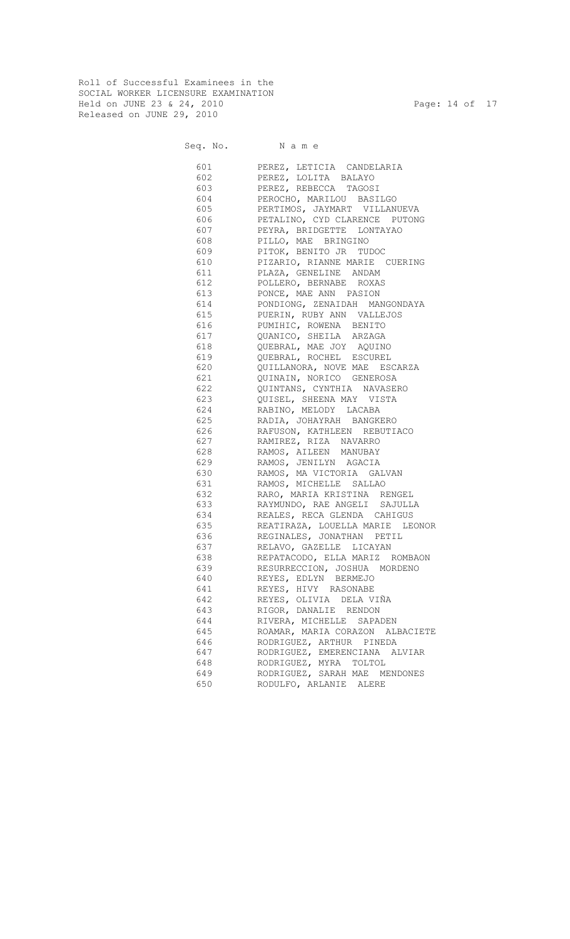Roll of Successful Examinees in the SOCIAL WORKER LICENSURE EXAMINATION Held on JUNE 23 & 24, 2010 Page: 14 of 17 Released on JUNE 29, 2010

| Name<br>Seq. No. |
|------------------|
|                  |

| 601    | PEREZ, LETICIA CANDELARIA       |
|--------|---------------------------------|
| 602    | PEREZ, LOLITA BALAYO            |
| 603    | PEREZ, REBECCA TAGOSI           |
| 604    | PEROCHO, MARILOU BASILGO        |
| 605    | PERTIMOS, JAYMART VILLANUEVA    |
| 606    | PETALINO, CYD CLARENCE PUTONG   |
| 607    | PEYRA, BRIDGETTE LONTAYAO       |
| 608    | PILLO, MAE BRINGINO             |
| 609    | PITOK, BENITO JR TUDOC          |
| 610    | PIZARIO, RIANNE MARIE CUERING   |
| 611    | PLAZA, GENELINE ANDAM           |
| 612    | POLLERO, BERNABE ROXAS          |
| 613    | PONCE, MAE ANN PASION           |
| 614    | PONDIONG, ZENAIDAH MANGONDAYA   |
| 615    | PUERIN, RUBY ANN VALLEJOS       |
| 616    | PUMIHIC, ROWENA BENITO          |
| 617    | QUANICO, SHEILA ARZAGA          |
| 618    | QUEBRAL, MAE JOY AQUINO         |
| 619    | QUEBRAL, ROCHEL ESCUREL         |
| 620    | QUILLANORA, NOVE MAE ESCARZA    |
| 621 62 | QUINAIN, NORICO GENEROSA        |
| 622    | QUINTANS, CYNTHIA NAVASERO      |
| 623    | QUISEL, SHEENA MAY VISTA        |
| 624    | RABINO, MELODY LACABA           |
| 625    | RADIA, JOHAYRAH BANGKERO        |
| 626    | RAFUSON, KATHLEEN REBUTIACO     |
| 627    | RAMIREZ, RIZA NAVARRO           |
| 628    | RAMOS, AILEEN MANUBAY           |
| 629    | RAMOS, JENILYN AGACIA           |
| 630    | RAMOS, MA VICTORIA GALVAN       |
| 631    | RAMOS, MICHELLE SALLAO          |
| 632    |                                 |
|        | RARO, MARIA KRISTINA RENGEL     |
| 633    | RAYMUNDO, RAE ANGELI SAJULLA    |
| 634    | REALES, RECA GLENDA CAHIGUS     |
| 635    | REATIRAZA, LOUELLA MARIE LEONOR |
| 636    | REGINALES, JONATHAN PETIL       |
| 637    | RELAVO, GAZELLE LICAYAN         |
| 638    | REPATACODO, ELLA MARIZ ROMBAON  |
| 639    | RESURRECCION, JOSHUA MORDENO    |
| 640    | REYES, EDLYN BERMEJO            |
| 641    | REYES, HIVY RASONABE            |
| 642    | REYES, OLIVIA DELA VIÑA         |
| 643    | RIGOR, DANALIE RENDON           |
| 644    | RIVERA, MICHELLE SAPADEN        |
| 645    | ROAMAR, MARIA CORAZON ALBACIETE |
| 646    | RODRIGUEZ, ARTHUR PINEDA        |
| 647    | RODRIGUEZ, EMERENCIANA ALVIAR   |
| 648    | RODRIGUEZ, MYRA TOLTOL          |
| 649    | RODRIGUEZ, SARAH MAE MENDONES   |
| 650    | RODULFO, ARLANIE ALERE          |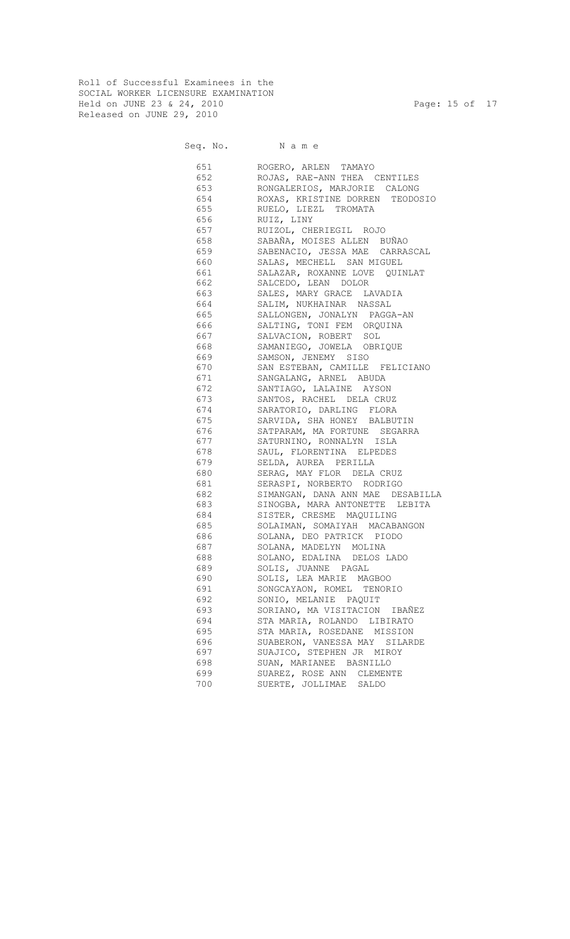Roll of Successful Examinees in the SOCIAL WORKER LICENSURE EXAMINATION Held on JUNE 23 & 24, 2010 Page: 15 of 17 Released on JUNE 29, 2010

| Seq. No. |  |  | Name |  |
|----------|--|--|------|--|
|          |  |  |      |  |

| 651       | ROGERO, ARLEN TAMAYO             |
|-----------|----------------------------------|
| 652       | ROJAS, RAE-ANN THEA CENTILES     |
| 653       | RONGALERIOS, MARJORIE CALONG     |
| 654       | ROXAS, KRISTINE DORREN TEODOSIO  |
| 655 7     | RUELO, LIEZL TROMATA             |
|           | 656 RUIZ, LINY                   |
| 657 — 100 | RUIZOL, CHERIEGIL ROJO           |
| 658 000   | SABAÑA, MOISES ALLEN BUÑAO       |
| 659       | SABENACIO, JESSA MAE CARRASCAL   |
| 660       | SALAS, MECHELL SAN MIGUEL        |
| 661       | SALAZAR, ROXANNE LOVE QUINLAT    |
| 662       | SALCEDO, LEAN DOLOR              |
| 663       | SALES, MARY GRACE LAVADIA        |
| 664       | SALIM, NUKHAINAR NASSAL          |
| 665 7     | SALLONGEN, JONALYN PAGGA-AN      |
| 666 700   | SALTING, TONI FEM ORQUINA        |
| 667       | SALVACION, ROBERT SOL            |
| 668       | SAMANIEGO, JOWELA OBRIQUE        |
| 669       | SAMSON, JENEMY SISO              |
| 670       | SAN ESTEBAN, CAMILLE FELICIANO   |
| 671       | SANGALANG, ARNEL ABUDA           |
| 672       | SANTIAGO, LALAINE AYSON          |
| 673       |                                  |
| 674 — 100 | SANTOS, RACHEL DELA CRUZ         |
|           | SARATORIO, DARLING FLORA         |
| 675 — 100 | SARVIDA, SHA HONEY BALBUTIN      |
| 676 8     | SATPARAM, MA FORTUNE SEGARRA     |
| 677       | SATURNINO, RONNALYN ISLA         |
| 678       | SAUL, FLORENTINA ELPEDES         |
| 679       | SELDA, AUREA PERILLA             |
| 680       | SERAG, MAY FLOR DELA CRUZ        |
| 681       | SERASPI, NORBERTO RODRIGO        |
| 682   100 | SIMANGAN, DANA ANN MAE DESABILLA |
|           | SINOGBA, MARA ANTONETTE LEBITA   |
| 684 — 100 | SISTER, CRESME MAQUILING         |
| 685 000   | SOLAIMAN, SOMAIYAH MACABANGON    |
| 686       | SOLANA, DEO PATRICK PIODO        |
| 687       | SOLANA, MADELYN MOLINA           |
| 688       | SOLANO, EDALINA DELOS LADO       |
| 689       | SOLIS, JUANNE PAGAL              |
| 690       | SOLIS, LEA MARIE MAGBOO          |
| 691       | SONGCAYAON, ROMEL<br>TENORIO     |
| 692       | SONIO, MELANIE PAQUIT            |
| 693       | SORIANO, MA VISITACION IBAÑEZ    |
| 694       | STA MARIA, ROLANDO LIBIRATO      |
| 695       | STA MARIA, ROSEDANE MISSION      |
| 696       | SUABERON, VANESSA MAY SILARDE    |
| 697       | SUAJICO, STEPHEN JR MIROY        |
| 698       | SUAN, MARIANEE BASNILLO          |
| 699       | SUAREZ, ROSE ANN CLEMENTE        |
| 700       | SUERTE, JOLLIMAE SALDO           |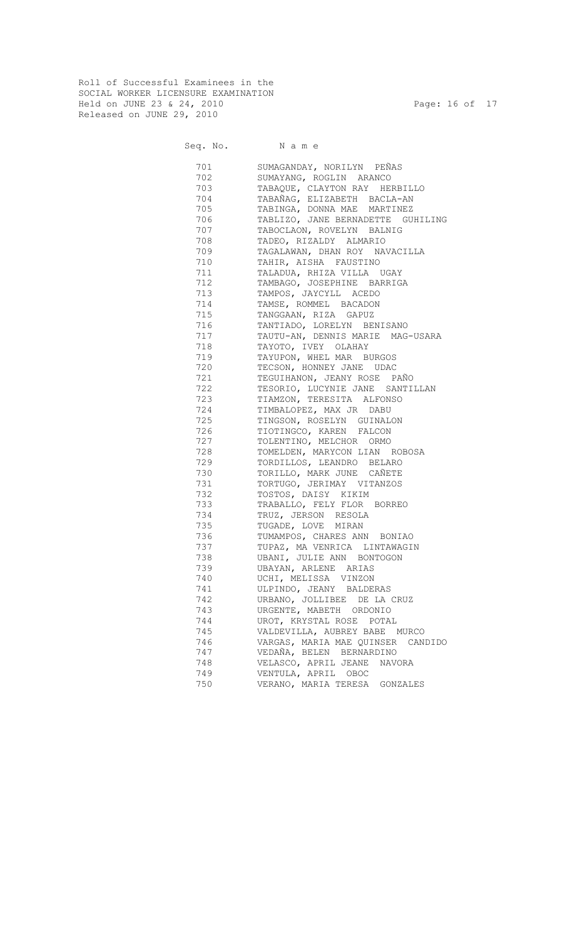Roll of Successful Examinees in the SOCIAL WORKER LICENSURE EXAMINATION Held on JUNE 23 & 24, 2010 Page: 16 of 17 Released on JUNE 29, 2010

| 701 | SUMAGANDAY, NORILYN PEÑAS         |
|-----|-----------------------------------|
| 702 | SUMAYANG, ROGLIN ARANCO           |
| 703 | TABAQUE, CLAYTON RAY HERBILLO     |
| 704 | TABAÑAG, ELIZABETH BACLA-AN       |
| 705 | TABINGA, DONNA MAE MARTINEZ       |
| 706 | TABLIZO, JANE BERNADETTE GUHILING |
| 707 | TABOCLAON, ROVELYN BALNIG         |
| 708 | TADEO, RIZALDY ALMARIO            |
| 709 | TAGALAWAN, DHAN ROY NAVACILLA     |
| 710 | TAHIR, AISHA FAUSTINO             |
| 711 | TALADUA, RHIZA VILLA UGAY         |
| 712 | TAMBAGO, JOSEPHINE BARRIGA        |
| 713 | TAMPOS, JAYCYLL ACEDO             |
| 714 | TAMSE, ROMMEL BACADON             |
| 715 | TANGGAAN, RIZA GAPUZ              |
| 716 | TANTIADO, LORELYN BENISANO        |
| 717 | TAUTU-AN, DENNIS MARIE MAG-USARA  |
| 718 | TAYOTO, IVEY OLAHAY               |
| 719 | TAYUPON, WHEL MAR BURGOS          |
| 720 | TECSON, HONNEY JANE UDAC          |
| 721 | TEGUIHANON, JEANY ROSE PAÑO       |
| 722 | TESORIO, LUCYNIE JANE SANTILLAN   |
| 723 | TIAMZON, TERESITA ALFONSO         |
| 724 | TIMBALOPEZ, MAX JR DABU           |
| 725 | TINGSON, ROSELYN GUINALON         |
| 726 | TIOTINGCO, KAREN FALCON           |
| 727 | TOLENTINO, MELCHOR ORMO           |
| 728 | TOMELDEN, MARYCON LIAN ROBOSA     |
| 729 | TORDILLOS, LEANDRO BELARO         |
| 730 | TORILLO, MARK JUNE CAÑETE         |
| 731 | TORTUGO, JERIMAY VITANZOS         |
| 732 | TOSTOS, DAISY KIKIM               |
| 733 | TRABALLO, FELY FLOR BORREO        |
| 734 | TRUZ, JERSON RESOLA               |
| 735 | TUGADE, LOVE MIRAN                |
| 736 | TUMAMPOS, CHARES ANN BONIAO       |
| 737 | TUPAZ, MA VENRICA LINTAWAGIN      |
| 738 | UBANI, JULIE ANN BONTOGON         |
| 739 | UBAYAN, ARLENE ARIAS              |
| 740 | UCHI, MELISSA VINZON              |
| 741 | ULPINDO, JEANY BALDERAS           |
| 742 | URBANO, JOLLIBEE DE LA CRUZ       |
| 743 | URGENTE, MABETH ORDONIO           |
| 744 | UROT, KRYSTAL ROSE POTAL          |
| 745 | VALDEVILLA, AUBREY BABE MURCO     |
| 746 | VARGAS, MARIA MAE QUINSER CANDIDO |
| 747 | VEDAÑA, BELEN BERNARDINO          |
| 748 | VELASCO, APRIL JEANE NAVORA       |
| 749 | VENTULA, APRIL OBOC               |
| 750 | VERANO, MARIA TERESA GONZALES     |
|     |                                   |